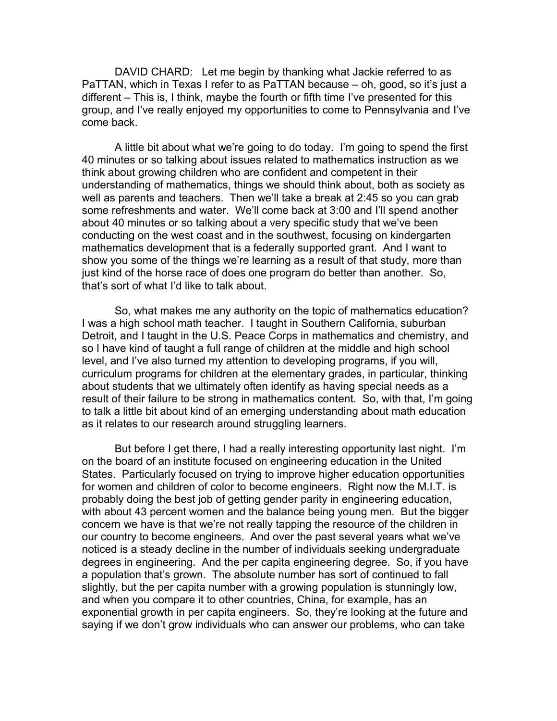DAVID CHARD: Let me begin by thanking what Jackie referred to as PaTTAN, which in Texas I refer to as PaTTAN because – oh, good, so it's just a different – This is, I think, maybe the fourth or fifth time I've presented for this group, and I've really enjoyed my opportunities to come to Pennsylvania and I've come back.

A little bit about what we're going to do today. I'm going to spend the first 40 minutes or so talking about issues related to mathematics instruction as we think about growing children who are confident and competent in their understanding of mathematics, things we should think about, both as society as well as parents and teachers. Then we'll take a break at 2:45 so you can grab some refreshments and water. We'll come back at 3:00 and I'll spend another about 40 minutes or so talking about a very specific study that we've been conducting on the west coast and in the southwest, focusing on kindergarten mathematics development that is a federally supported grant. And I want to show you some of the things we're learning as a result of that study, more than just kind of the horse race of does one program do better than another. So, that's sort of what I'd like to talk about.

So, what makes me any authority on the topic of mathematics education? I was a high school math teacher. I taught in Southern California, suburban Detroit, and I taught in the U.S. Peace Corps in mathematics and chemistry, and so I have kind of taught a full range of children at the middle and high school level, and I've also turned my attention to developing programs, if you will, curriculum programs for children at the elementary grades, in particular, thinking about students that we ultimately often identify as having special needs as a result of their failure to be strong in mathematics content. So, with that, I'm going to talk a little bit about kind of an emerging understanding about math education as it relates to our research around struggling learners.

But before I get there, I had a really interesting opportunity last night. I'm on the board of an institute focused on engineering education in the United States. Particularly focused on trying to improve higher education opportunities for women and children of color to become engineers. Right now the M.I.T. is probably doing the best job of getting gender parity in engineering education, with about 43 percent women and the balance being young men. But the bigger concern we have is that we're not really tapping the resource of the children in our country to become engineers. And over the past several years what we've noticed is a steady decline in the number of individuals seeking undergraduate degrees in engineering. And the per capita engineering degree. So, if you have a population that's grown. The absolute number has sort of continued to fall slightly, but the per capita number with a growing population is stunningly low, and when you compare it to other countries, China, for example, has an exponential growth in per capita engineers. So, they're looking at the future and saying if we don't grow individuals who can answer our problems, who can take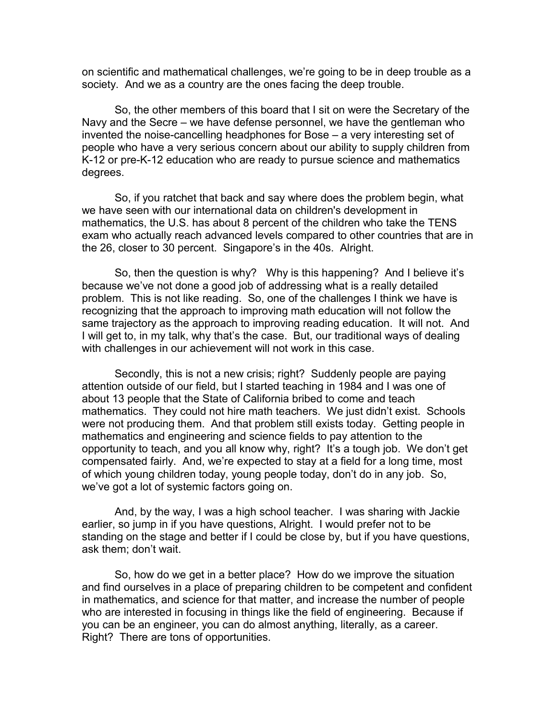on scientific and mathematical challenges, we're going to be in deep trouble as a society. And we as a country are the ones facing the deep trouble.

So, the other members of this board that I sit on were the Secretary of the Navy and the Secre – we have defense personnel, we have the gentleman who invented the noise-cancelling headphones for Bose – a very interesting set of people who have a very serious concern about our ability to supply children from K-12 or pre-K-12 education who are ready to pursue science and mathematics degrees.

So, if you ratchet that back and say where does the problem begin, what we have seen with our international data on children's development in mathematics, the U.S. has about 8 percent of the children who take the TENS exam who actually reach advanced levels compared to other countries that are in the 26, closer to 30 percent. Singapore's in the 40s. Alright.

So, then the question is why? Why is this happening? And I believe it's because we've not done a good job of addressing what is a really detailed problem. This is not like reading. So, one of the challenges I think we have is recognizing that the approach to improving math education will not follow the same trajectory as the approach to improving reading education. It will not. And I will get to, in my talk, why that's the case. But, our traditional ways of dealing with challenges in our achievement will not work in this case.

Secondly, this is not a new crisis; right? Suddenly people are paying attention outside of our field, but I started teaching in 1984 and I was one of about 13 people that the State of California bribed to come and teach mathematics. They could not hire math teachers. We just didn't exist. Schools were not producing them. And that problem still exists today. Getting people in mathematics and engineering and science fields to pay attention to the opportunity to teach, and you all know why, right? It's a tough job. We don't get compensated fairly. And, we're expected to stay at a field for a long time, most of which young children today, young people today, don't do in any job. So, we've got a lot of systemic factors going on.

And, by the way, I was a high school teacher. I was sharing with Jackie earlier, so jump in if you have questions, Alright. I would prefer not to be standing on the stage and better if I could be close by, but if you have questions, ask them; don't wait.

So, how do we get in a better place? How do we improve the situation and find ourselves in a place of preparing children to be competent and confident in mathematics, and science for that matter, and increase the number of people who are interested in focusing in things like the field of engineering. Because if you can be an engineer, you can do almost anything, literally, as a career. Right? There are tons of opportunities.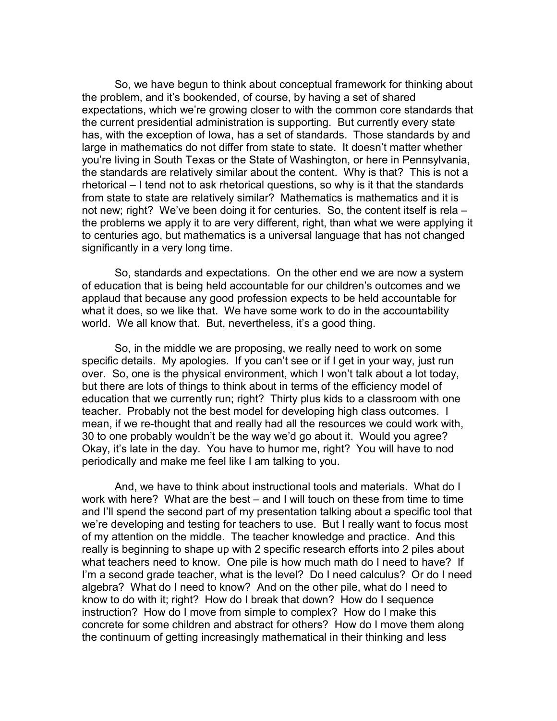So, we have begun to think about conceptual framework for thinking about the problem, and it's bookended, of course, by having a set of shared expectations, which we're growing closer to with the common core standards that the current presidential administration is supporting. But currently every state has, with the exception of Iowa, has a set of standards. Those standards by and large in mathematics do not differ from state to state. It doesn't matter whether you're living in South Texas or the State of Washington, or here in Pennsylvania, the standards are relatively similar about the content. Why is that? This is not a rhetorical – I tend not to ask rhetorical questions, so why is it that the standards from state to state are relatively similar? Mathematics is mathematics and it is not new; right? We've been doing it for centuries. So, the content itself is rela – the problems we apply it to are very different, right, than what we were applying it to centuries ago, but mathematics is a universal language that has not changed significantly in a very long time.

So, standards and expectations. On the other end we are now a system of education that is being held accountable for our children's outcomes and we applaud that because any good profession expects to be held accountable for what it does, so we like that. We have some work to do in the accountability world. We all know that. But, nevertheless, it's a good thing.

So, in the middle we are proposing, we really need to work on some specific details. My apologies. If you can't see or if I get in your way, just run over. So, one is the physical environment, which I won't talk about a lot today, but there are lots of things to think about in terms of the efficiency model of education that we currently run; right? Thirty plus kids to a classroom with one teacher. Probably not the best model for developing high class outcomes. I mean, if we re-thought that and really had all the resources we could work with, 30 to one probably wouldn't be the way we'd go about it. Would you agree? Okay, it's late in the day. You have to humor me, right? You will have to nod periodically and make me feel like I am talking to you.

And, we have to think about instructional tools and materials. What do I work with here? What are the best – and I will touch on these from time to time and I'll spend the second part of my presentation talking about a specific tool that we're developing and testing for teachers to use. But I really want to focus most of my attention on the middle. The teacher knowledge and practice. And this really is beginning to shape up with 2 specific research efforts into 2 piles about what teachers need to know. One pile is how much math do I need to have? If I'm a second grade teacher, what is the level? Do I need calculus? Or do I need algebra? What do I need to know? And on the other pile, what do I need to know to do with it; right? How do I break that down? How do I sequence instruction? How do I move from simple to complex? How do I make this concrete for some children and abstract for others? How do I move them along the continuum of getting increasingly mathematical in their thinking and less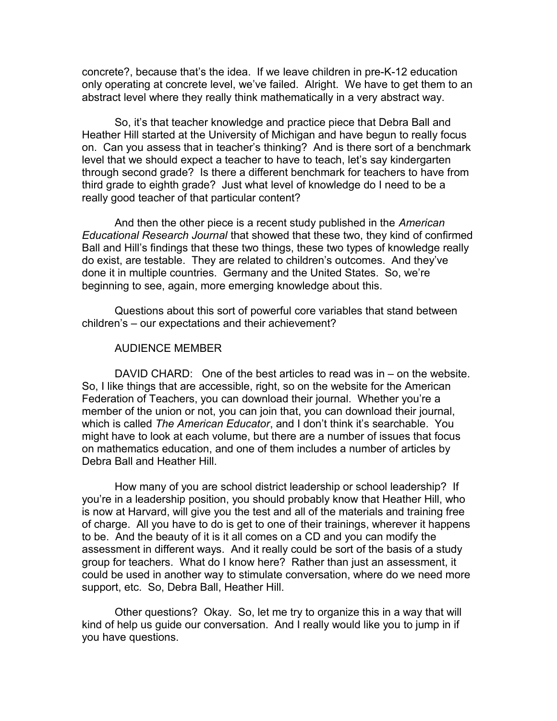concrete?, because that's the idea. If we leave children in pre-K-12 education only operating at concrete level, we've failed. Alright. We have to get them to an abstract level where they really think mathematically in a very abstract way.

So, it's that teacher knowledge and practice piece that Debra Ball and Heather Hill started at the University of Michigan and have begun to really focus on. Can you assess that in teacher's thinking? And is there sort of a benchmark level that we should expect a teacher to have to teach, let's say kindergarten through second grade? Is there a different benchmark for teachers to have from third grade to eighth grade? Just what level of knowledge do I need to be a really good teacher of that particular content?

And then the other piece is a recent study published in the *American Educational Research Journal* that showed that these two, they kind of confirmed Ball and Hill's findings that these two things, these two types of knowledge really do exist, are testable. They are related to children's outcomes. And they've done it in multiple countries. Germany and the United States. So, we're beginning to see, again, more emerging knowledge about this.

Questions about this sort of powerful core variables that stand between children's – our expectations and their achievement?

#### AUDIENCE MEMBER

DAVID CHARD: One of the best articles to read was in – on the website. So, I like things that are accessible, right, so on the website for the American Federation of Teachers, you can download their journal. Whether you're a member of the union or not, you can join that, you can download their journal, which is called *The American Educator*, and I don't think it's searchable. You might have to look at each volume, but there are a number of issues that focus on mathematics education, and one of them includes a number of articles by Debra Ball and Heather Hill.

How many of you are school district leadership or school leadership? If you're in a leadership position, you should probably know that Heather Hill, who is now at Harvard, will give you the test and all of the materials and training free of charge. All you have to do is get to one of their trainings, wherever it happens to be. And the beauty of it is it all comes on a CD and you can modify the assessment in different ways. And it really could be sort of the basis of a study group for teachers. What do I know here? Rather than just an assessment, it could be used in another way to stimulate conversation, where do we need more support, etc. So, Debra Ball, Heather Hill.

Other questions? Okay. So, let me try to organize this in a way that will kind of help us guide our conversation. And I really would like you to jump in if you have questions.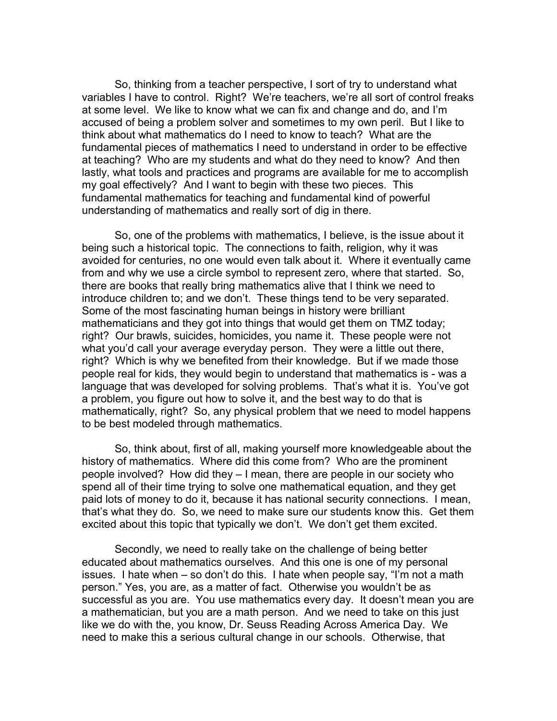So, thinking from a teacher perspective, I sort of try to understand what variables I have to control. Right? We're teachers, we're all sort of control freaks at some level. We like to know what we can fix and change and do, and I'm accused of being a problem solver and sometimes to my own peril. But I like to think about what mathematics do I need to know to teach? What are the fundamental pieces of mathematics I need to understand in order to be effective at teaching? Who are my students and what do they need to know? And then lastly, what tools and practices and programs are available for me to accomplish my goal effectively? And I want to begin with these two pieces. This fundamental mathematics for teaching and fundamental kind of powerful understanding of mathematics and really sort of dig in there.

So, one of the problems with mathematics, I believe, is the issue about it being such a historical topic. The connections to faith, religion, why it was avoided for centuries, no one would even talk about it. Where it eventually came from and why we use a circle symbol to represent zero, where that started. So, there are books that really bring mathematics alive that I think we need to introduce children to; and we don't. These things tend to be very separated. Some of the most fascinating human beings in history were brilliant mathematicians and they got into things that would get them on TMZ today; right? Our brawls, suicides, homicides, you name it. These people were not what you'd call your average everyday person. They were a little out there, right? Which is why we benefited from their knowledge. But if we made those people real for kids, they would begin to understand that mathematics is - was a language that was developed for solving problems. That's what it is. You've got a problem, you figure out how to solve it, and the best way to do that is mathematically, right? So, any physical problem that we need to model happens to be best modeled through mathematics.

So, think about, first of all, making yourself more knowledgeable about the history of mathematics. Where did this come from? Who are the prominent people involved? How did they – I mean, there are people in our society who spend all of their time trying to solve one mathematical equation, and they get paid lots of money to do it, because it has national security connections. I mean, that's what they do. So, we need to make sure our students know this. Get them excited about this topic that typically we don't. We don't get them excited.

Secondly, we need to really take on the challenge of being better educated about mathematics ourselves. And this one is one of my personal issues. I hate when – so don't do this. I hate when people say, "I'm not a math person." Yes, you are, as a matter of fact. Otherwise you wouldn't be as successful as you are. You use mathematics every day. It doesn't mean you are a mathematician, but you are a math person. And we need to take on this just like we do with the, you know, Dr. Seuss Reading Across America Day. We need to make this a serious cultural change in our schools. Otherwise, that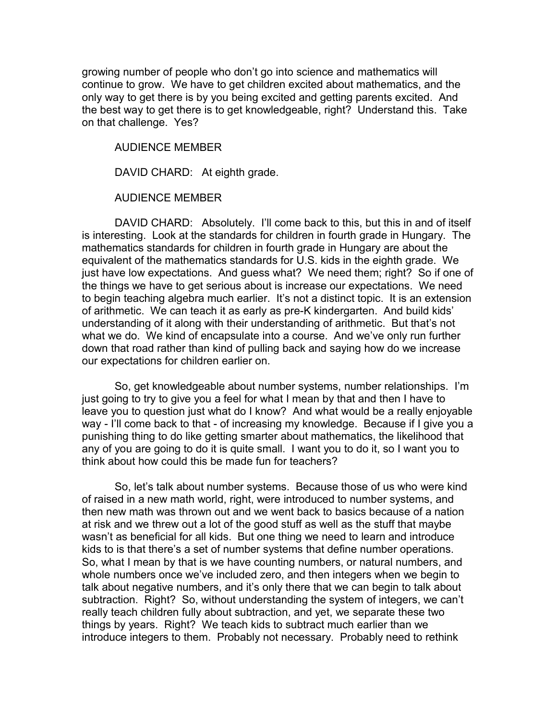growing number of people who don't go into science and mathematics will continue to grow. We have to get children excited about mathematics, and the only way to get there is by you being excited and getting parents excited. And the best way to get there is to get knowledgeable, right? Understand this. Take on that challenge. Yes?

AUDIENCE MEMBER

DAVID CHARD: At eighth grade.

AUDIENCE MEMBER

DAVID CHARD: Absolutely. I'll come back to this, but this in and of itself is interesting. Look at the standards for children in fourth grade in Hungary. The mathematics standards for children in fourth grade in Hungary are about the equivalent of the mathematics standards for U.S. kids in the eighth grade. We just have low expectations. And guess what? We need them; right? So if one of the things we have to get serious about is increase our expectations. We need to begin teaching algebra much earlier. It's not a distinct topic. It is an extension of arithmetic. We can teach it as early as pre-K kindergarten. And build kids' understanding of it along with their understanding of arithmetic. But that's not what we do. We kind of encapsulate into a course. And we've only run further down that road rather than kind of pulling back and saying how do we increase our expectations for children earlier on.

So, get knowledgeable about number systems, number relationships. I'm just going to try to give you a feel for what I mean by that and then I have to leave you to question just what do I know? And what would be a really enjoyable way - I'll come back to that - of increasing my knowledge. Because if I give you a punishing thing to do like getting smarter about mathematics, the likelihood that any of you are going to do it is quite small. I want you to do it, so I want you to think about how could this be made fun for teachers?

So, let's talk about number systems. Because those of us who were kind of raised in a new math world, right, were introduced to number systems, and then new math was thrown out and we went back to basics because of a nation at risk and we threw out a lot of the good stuff as well as the stuff that maybe wasn't as beneficial for all kids. But one thing we need to learn and introduce kids to is that there's a set of number systems that define number operations. So, what I mean by that is we have counting numbers, or natural numbers, and whole numbers once we've included zero, and then integers when we begin to talk about negative numbers, and it's only there that we can begin to talk about subtraction. Right? So, without understanding the system of integers, we can't really teach children fully about subtraction, and yet, we separate these two things by years. Right? We teach kids to subtract much earlier than we introduce integers to them. Probably not necessary. Probably need to rethink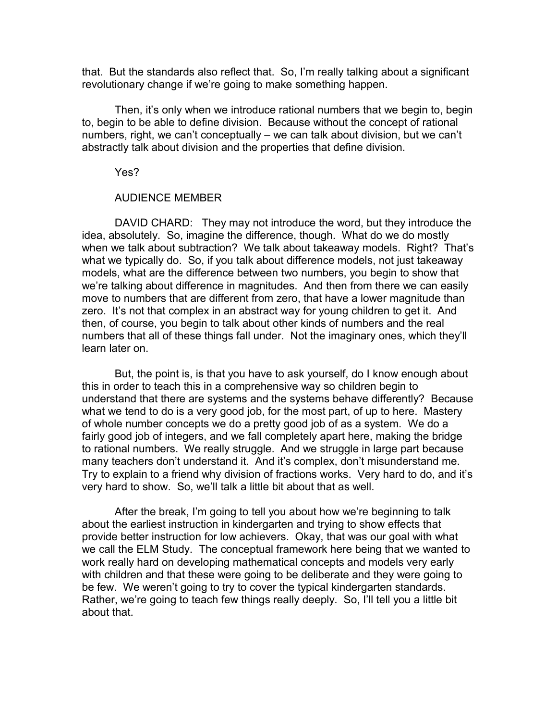that. But the standards also reflect that. So, I'm really talking about a significant revolutionary change if we're going to make something happen.

Then, it's only when we introduce rational numbers that we begin to, begin to, begin to be able to define division. Because without the concept of rational numbers, right, we can't conceptually – we can talk about division, but we can't abstractly talk about division and the properties that define division.

Yes?

## AUDIENCE MEMBER

DAVID CHARD: They may not introduce the word, but they introduce the idea, absolutely. So, imagine the difference, though. What do we do mostly when we talk about subtraction? We talk about takeaway models. Right? That's what we typically do. So, if you talk about difference models, not just takeaway models, what are the difference between two numbers, you begin to show that we're talking about difference in magnitudes. And then from there we can easily move to numbers that are different from zero, that have a lower magnitude than zero. It's not that complex in an abstract way for young children to get it. And then, of course, you begin to talk about other kinds of numbers and the real numbers that all of these things fall under. Not the imaginary ones, which they'll learn later on.

But, the point is, is that you have to ask yourself, do I know enough about this in order to teach this in a comprehensive way so children begin to understand that there are systems and the systems behave differently? Because what we tend to do is a very good job, for the most part, of up to here. Mastery of whole number concepts we do a pretty good job of as a system. We do a fairly good job of integers, and we fall completely apart here, making the bridge to rational numbers. We really struggle. And we struggle in large part because many teachers don't understand it. And it's complex, don't misunderstand me. Try to explain to a friend why division of fractions works. Very hard to do, and it's very hard to show. So, we'll talk a little bit about that as well.

After the break, I'm going to tell you about how we're beginning to talk about the earliest instruction in kindergarten and trying to show effects that provide better instruction for low achievers. Okay, that was our goal with what we call the ELM Study. The conceptual framework here being that we wanted to work really hard on developing mathematical concepts and models very early with children and that these were going to be deliberate and they were going to be few. We weren't going to try to cover the typical kindergarten standards. Rather, we're going to teach few things really deeply. So, I'll tell you a little bit about that.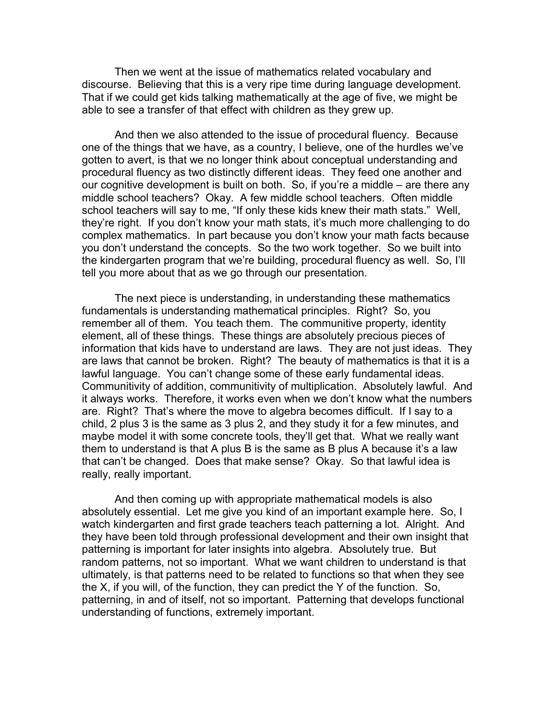Then we went at the issue of mathematics related vocabulary and discourse. Believing that this is a very ripe time during language development. That if we could get kids talking mathematically at the age of five, we might be able to see a transfer of that effect with children as they grew up.

And then we also attended to the issue of procedural fluency. Because one of the things that we have, as a country, I believe, one of the hurdles we've gotten to avert, is that we no longer think about conceptual understanding and procedural fluency as two distinctly different ideas. They feed one another and our cognitive development is built on both. So, if you're a middle – are there any middle school teachers? Okay. A few middle school teachers. Often middle school teachers will say to me, "If only these kids knew their math stats." Well, they're right. If you don't know your math stats, it's much more challenging to do complex mathematics. In part because you don't know your math facts because you don't understand the concepts. So the two work together. So we built into the kindergarten program that we're building, procedural fluency as well. So, I'll tell you more about that as we go through our presentation.

The next piece is understanding, in understanding these mathematics fundamentals is understanding mathematical principles. Right? So, you remember all of them. You teach them. The communitive property, identity element, all of these things. These things are absolutely precious pieces of information that kids have to understand are laws. They are not just ideas. They are laws that cannot be broken. Right? The beauty of mathematics is that it is a lawful language. You can't change some of these early fundamental ideas. Communitivity of addition, communitivity of multiplication. Absolutely lawful. And it always works. Therefore, it works even when we don't know what the numbers are. Right? That's where the move to algebra becomes difficult. If I say to a child, 2 plus 3 is the same as 3 plus 2, and they study it for a few minutes, and maybe model it with some concrete tools, they'll get that. What we really want them to understand is that A plus B is the same as B plus A because it's a law that can't be changed. Does that make sense? Okay. So that lawful idea is really, really important.

And then coming up with appropriate mathematical models is also absolutely essential. Let me give you kind of an important example here. So, I watch kindergarten and first grade teachers teach patterning a lot. Alright. And they have been told through professional development and their own insight that patterning is important for later insights into algebra. Absolutely true. But random patterns, not so important. What we want children to understand is that ultimately, is that patterns need to be related to functions so that when they see the X, if you will, of the function, they can predict the Y of the function. So, patterning, in and of itself, not so important. Patterning that develops functional understanding of functions, extremely important.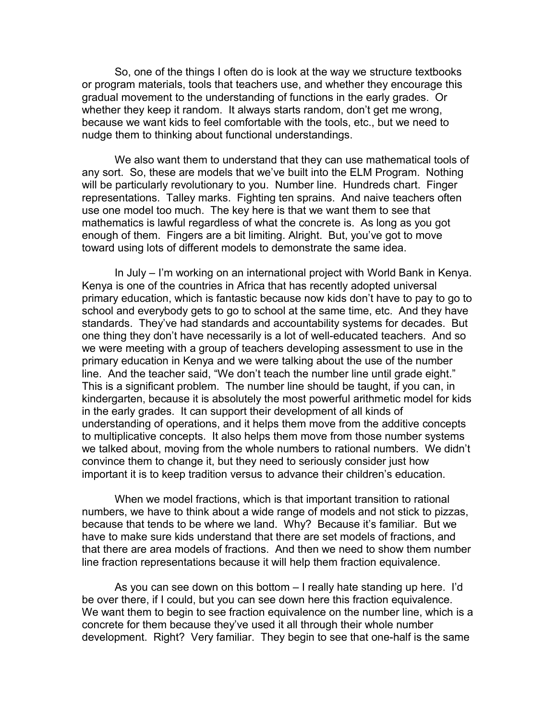So, one of the things I often do is look at the way we structure textbooks or program materials, tools that teachers use, and whether they encourage this gradual movement to the understanding of functions in the early grades. Or whether they keep it random. It always starts random, don't get me wrong, because we want kids to feel comfortable with the tools, etc., but we need to nudge them to thinking about functional understandings.

We also want them to understand that they can use mathematical tools of any sort. So, these are models that we've built into the ELM Program. Nothing will be particularly revolutionary to you. Number line. Hundreds chart. Finger representations. Talley marks. Fighting ten sprains. And naive teachers often use one model too much. The key here is that we want them to see that mathematics is lawful regardless of what the concrete is. As long as you got enough of them. Fingers are a bit limiting. Alright. But, you've got to move toward using lots of different models to demonstrate the same idea.

In July – I'm working on an international project with World Bank in Kenya. Kenya is one of the countries in Africa that has recently adopted universal primary education, which is fantastic because now kids don't have to pay to go to school and everybody gets to go to school at the same time, etc. And they have standards. They've had standards and accountability systems for decades. But one thing they don't have necessarily is a lot of well-educated teachers. And so we were meeting with a group of teachers developing assessment to use in the primary education in Kenya and we were talking about the use of the number line. And the teacher said, "We don't teach the number line until grade eight." This is a significant problem. The number line should be taught, if you can, in kindergarten, because it is absolutely the most powerful arithmetic model for kids in the early grades. It can support their development of all kinds of understanding of operations, and it helps them move from the additive concepts to multiplicative concepts. It also helps them move from those number systems we talked about, moving from the whole numbers to rational numbers. We didn't convince them to change it, but they need to seriously consider just how important it is to keep tradition versus to advance their children's education.

When we model fractions, which is that important transition to rational numbers, we have to think about a wide range of models and not stick to pizzas, because that tends to be where we land. Why? Because it's familiar. But we have to make sure kids understand that there are set models of fractions, and that there are area models of fractions. And then we need to show them number line fraction representations because it will help them fraction equivalence.

As you can see down on this bottom – I really hate standing up here. I'd be over there, if I could, but you can see down here this fraction equivalence. We want them to begin to see fraction equivalence on the number line, which is a concrete for them because they've used it all through their whole number development. Right? Very familiar. They begin to see that one-half is the same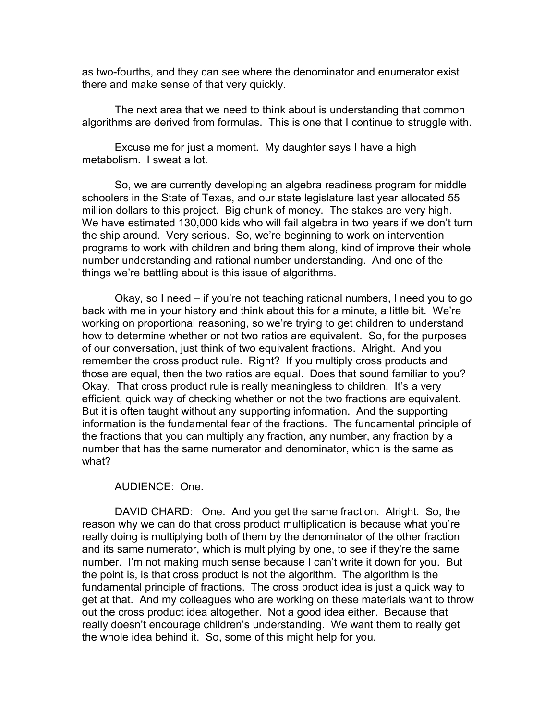as two-fourths, and they can see where the denominator and enumerator exist there and make sense of that very quickly.

The next area that we need to think about is understanding that common algorithms are derived from formulas. This is one that I continue to struggle with.

Excuse me for just a moment. My daughter says I have a high metabolism. I sweat a lot.

So, we are currently developing an algebra readiness program for middle schoolers in the State of Texas, and our state legislature last year allocated 55 million dollars to this project. Big chunk of money. The stakes are very high. We have estimated 130,000 kids who will fail algebra in two years if we don't turn the ship around. Very serious. So, we're beginning to work on intervention programs to work with children and bring them along, kind of improve their whole number understanding and rational number understanding. And one of the things we're battling about is this issue of algorithms.

Okay, so I need – if you're not teaching rational numbers, I need you to go back with me in your history and think about this for a minute, a little bit. We're working on proportional reasoning, so we're trying to get children to understand how to determine whether or not two ratios are equivalent. So, for the purposes of our conversation, just think of two equivalent fractions. Alright. And you remember the cross product rule. Right? If you multiply cross products and those are equal, then the two ratios are equal. Does that sound familiar to you? Okay. That cross product rule is really meaningless to children. It's a very efficient, quick way of checking whether or not the two fractions are equivalent. But it is often taught without any supporting information. And the supporting information is the fundamental fear of the fractions. The fundamental principle of the fractions that you can multiply any fraction, any number, any fraction by a number that has the same numerator and denominator, which is the same as what?

#### AUDIENCE: One.

DAVID CHARD: One. And you get the same fraction. Alright. So, the reason why we can do that cross product multiplication is because what you're really doing is multiplying both of them by the denominator of the other fraction and its same numerator, which is multiplying by one, to see if they're the same number. I'm not making much sense because I can't write it down for you. But the point is, is that cross product is not the algorithm. The algorithm is the fundamental principle of fractions. The cross product idea is just a quick way to get at that. And my colleagues who are working on these materials want to throw out the cross product idea altogether. Not a good idea either. Because that really doesn't encourage children's understanding. We want them to really get the whole idea behind it. So, some of this might help for you.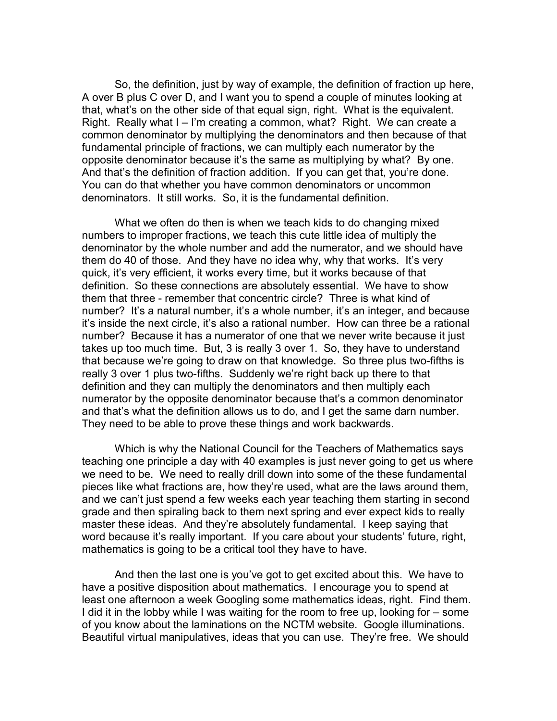So, the definition, just by way of example, the definition of fraction up here, A over B plus C over D, and I want you to spend a couple of minutes looking at that, what's on the other side of that equal sign, right. What is the equivalent. Right. Really what I – I'm creating a common, what? Right. We can create a common denominator by multiplying the denominators and then because of that fundamental principle of fractions, we can multiply each numerator by the opposite denominator because it's the same as multiplying by what? By one. And that's the definition of fraction addition. If you can get that, you're done. You can do that whether you have common denominators or uncommon denominators. It still works. So, it is the fundamental definition.

What we often do then is when we teach kids to do changing mixed numbers to improper fractions, we teach this cute little idea of multiply the denominator by the whole number and add the numerator, and we should have them do 40 of those. And they have no idea why, why that works. It's very quick, it's very efficient, it works every time, but it works because of that definition. So these connections are absolutely essential. We have to show them that three - remember that concentric circle? Three is what kind of number? It's a natural number, it's a whole number, it's an integer, and because it's inside the next circle, it's also a rational number. How can three be a rational number? Because it has a numerator of one that we never write because it just takes up too much time. But, 3 is really 3 over 1. So, they have to understand that because we're going to draw on that knowledge. So three plus two-fifths is really 3 over 1 plus two-fifths. Suddenly we're right back up there to that definition and they can multiply the denominators and then multiply each numerator by the opposite denominator because that's a common denominator and that's what the definition allows us to do, and I get the same darn number. They need to be able to prove these things and work backwards.

Which is why the National Council for the Teachers of Mathematics says teaching one principle a day with 40 examples is just never going to get us where we need to be. We need to really drill down into some of the these fundamental pieces like what fractions are, how they're used, what are the laws around them, and we can't just spend a few weeks each year teaching them starting in second grade and then spiraling back to them next spring and ever expect kids to really master these ideas. And they're absolutely fundamental. I keep saying that word because it's really important. If you care about your students' future, right, mathematics is going to be a critical tool they have to have.

And then the last one is you've got to get excited about this. We have to have a positive disposition about mathematics. I encourage you to spend at least one afternoon a week Googling some mathematics ideas, right. Find them. I did it in the lobby while I was waiting for the room to free up, looking for – some of you know about the laminations on the NCTM website. Google illuminations. Beautiful virtual manipulatives, ideas that you can use. They're free. We should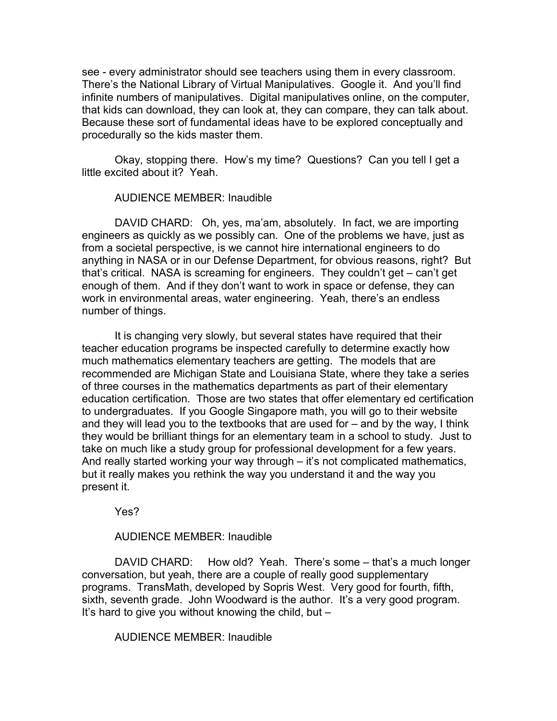see - every administrator should see teachers using them in every classroom. There's the National Library of Virtual Manipulatives. Google it. And you'll find infinite numbers of manipulatives. Digital manipulatives online, on the computer, that kids can download, they can look at, they can compare, they can talk about. Because these sort of fundamental ideas have to be explored conceptually and procedurally so the kids master them.

Okay, stopping there. How's my time? Questions? Can you tell I get a little excited about it? Yeah.

### AUDIENCE MEMBER: Inaudible

DAVID CHARD: Oh, yes, ma'am, absolutely. In fact, we are importing engineers as quickly as we possibly can. One of the problems we have, just as from a societal perspective, is we cannot hire international engineers to do anything in NASA or in our Defense Department, for obvious reasons, right? But that's critical. NASA is screaming for engineers. They couldn't get – can't get enough of them. And if they don't want to work in space or defense, they can work in environmental areas, water engineering. Yeah, there's an endless number of things.

It is changing very slowly, but several states have required that their teacher education programs be inspected carefully to determine exactly how much mathematics elementary teachers are getting. The models that are recommended are Michigan State and Louisiana State, where they take a series of three courses in the mathematics departments as part of their elementary education certification. Those are two states that offer elementary ed certification to undergraduates. If you Google Singapore math, you will go to their website and they will lead you to the textbooks that are used for  $-$  and by the way, I think they would be brilliant things for an elementary team in a school to study. Just to take on much like a study group for professional development for a few years. And really started working your way through – it's not complicated mathematics, but it really makes you rethink the way you understand it and the way you present it.

Yes?

# AUDIENCE MEMBER: Inaudible

DAVID CHARD: How old? Yeah. There's some – that's a much longer conversation, but yeah, there are a couple of really good supplementary programs. TransMath, developed by Sopris West. Very good for fourth, fifth, sixth, seventh grade. John Woodward is the author. It's a very good program. It's hard to give you without knowing the child, but –

### AUDIENCE MEMBER: Inaudible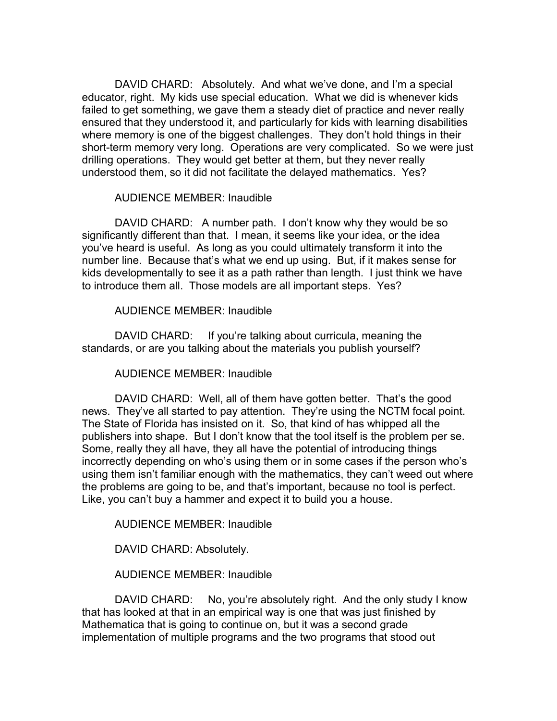DAVID CHARD: Absolutely. And what we've done, and I'm a special educator, right. My kids use special education. What we did is whenever kids failed to get something, we gave them a steady diet of practice and never really ensured that they understood it, and particularly for kids with learning disabilities where memory is one of the biggest challenges. They don't hold things in their short-term memory very long. Operations are very complicated. So we were just drilling operations. They would get better at them, but they never really understood them, so it did not facilitate the delayed mathematics. Yes?

## AUDIENCE MEMBER: Inaudible

DAVID CHARD: A number path. I don't know why they would be so significantly different than that. I mean, it seems like your idea, or the idea you've heard is useful. As long as you could ultimately transform it into the number line. Because that's what we end up using. But, if it makes sense for kids developmentally to see it as a path rather than length. I just think we have to introduce them all. Those models are all important steps. Yes?

## AUDIENCE MEMBER: Inaudible

DAVID CHARD: If you're talking about curricula, meaning the standards, or are you talking about the materials you publish yourself?

# AUDIENCE MEMBER: Inaudible

DAVID CHARD: Well, all of them have gotten better. That's the good news. They've all started to pay attention. They're using the NCTM focal point. The State of Florida has insisted on it. So, that kind of has whipped all the publishers into shape. But I don't know that the tool itself is the problem per se. Some, really they all have, they all have the potential of introducing things incorrectly depending on who's using them or in some cases if the person who's using them isn't familiar enough with the mathematics, they can't weed out where the problems are going to be, and that's important, because no tool is perfect. Like, you can't buy a hammer and expect it to build you a house.

AUDIENCE MEMBER: Inaudible

DAVID CHARD: Absolutely.

AUDIENCE MEMBER: Inaudible

DAVID CHARD: No, you're absolutely right. And the only study I know that has looked at that in an empirical way is one that was just finished by Mathematica that is going to continue on, but it was a second grade implementation of multiple programs and the two programs that stood out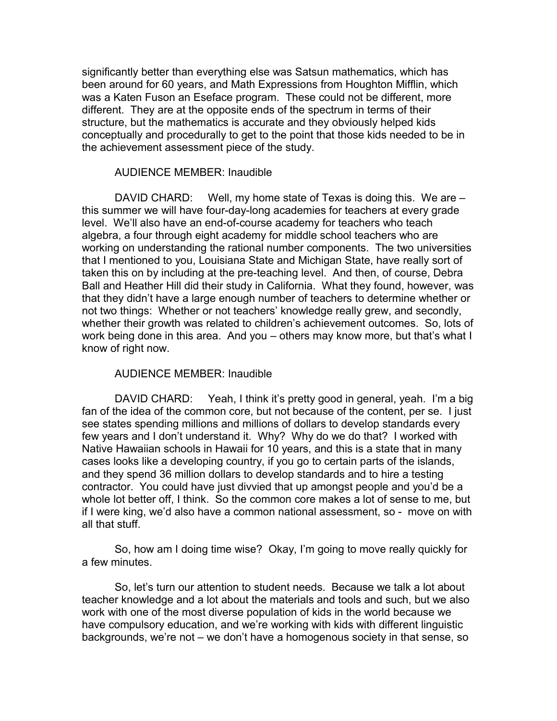significantly better than everything else was Satsun mathematics, which has been around for 60 years, and Math Expressions from Houghton Mifflin, which was a Katen Fuson an Eseface program. These could not be different, more different. They are at the opposite ends of the spectrum in terms of their structure, but the mathematics is accurate and they obviously helped kids conceptually and procedurally to get to the point that those kids needed to be in the achievement assessment piece of the study.

### AUDIENCE MEMBER: Inaudible

DAVID CHARD: Well, my home state of Texas is doing this. We are – this summer we will have four-day-long academies for teachers at every grade level. We'll also have an end-of-course academy for teachers who teach algebra, a four through eight academy for middle school teachers who are working on understanding the rational number components. The two universities that I mentioned to you, Louisiana State and Michigan State, have really sort of taken this on by including at the pre-teaching level. And then, of course, Debra Ball and Heather Hill did their study in California. What they found, however, was that they didn't have a large enough number of teachers to determine whether or not two things: Whether or not teachers' knowledge really grew, and secondly, whether their growth was related to children's achievement outcomes. So, lots of work being done in this area. And you – others may know more, but that's what I know of right now.

### AUDIENCE MEMBER: Inaudible

DAVID CHARD: Yeah, I think it's pretty good in general, yeah. I'm a big fan of the idea of the common core, but not because of the content, per se. I just see states spending millions and millions of dollars to develop standards every few years and I don't understand it. Why? Why do we do that? I worked with Native Hawaiian schools in Hawaii for 10 years, and this is a state that in many cases looks like a developing country, if you go to certain parts of the islands, and they spend 36 million dollars to develop standards and to hire a testing contractor. You could have just divvied that up amongst people and you'd be a whole lot better off, I think. So the common core makes a lot of sense to me, but if I were king, we'd also have a common national assessment, so - move on with all that stuff.

So, how am I doing time wise? Okay, I'm going to move really quickly for a few minutes.

So, let's turn our attention to student needs. Because we talk a lot about teacher knowledge and a lot about the materials and tools and such, but we also work with one of the most diverse population of kids in the world because we have compulsory education, and we're working with kids with different linguistic backgrounds, we're not – we don't have a homogenous society in that sense, so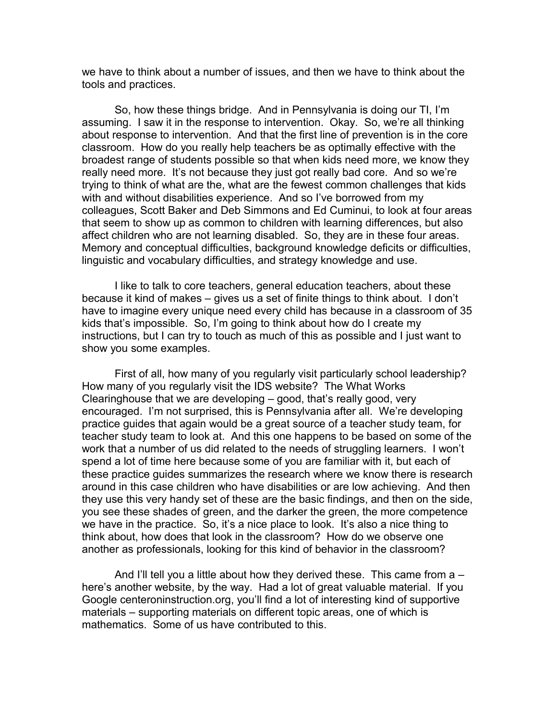we have to think about a number of issues, and then we have to think about the tools and practices.

So, how these things bridge. And in Pennsylvania is doing our TI, I'm assuming. I saw it in the response to intervention. Okay. So, we're all thinking about response to intervention. And that the first line of prevention is in the core classroom. How do you really help teachers be as optimally effective with the broadest range of students possible so that when kids need more, we know they really need more. It's not because they just got really bad core. And so we're trying to think of what are the, what are the fewest common challenges that kids with and without disabilities experience. And so I've borrowed from my colleagues, Scott Baker and Deb Simmons and Ed Cuminui, to look at four areas that seem to show up as common to children with learning differences, but also affect children who are not learning disabled. So, they are in these four areas. Memory and conceptual difficulties, background knowledge deficits or difficulties, linguistic and vocabulary difficulties, and strategy knowledge and use.

I like to talk to core teachers, general education teachers, about these because it kind of makes – gives us a set of finite things to think about. I don't have to imagine every unique need every child has because in a classroom of 35 kids that's impossible. So, I'm going to think about how do I create my instructions, but I can try to touch as much of this as possible and I just want to show you some examples.

First of all, how many of you regularly visit particularly school leadership? How many of you regularly visit the IDS website? The What Works Clearinghouse that we are developing – good, that's really good, very encouraged. I'm not surprised, this is Pennsylvania after all. We're developing practice guides that again would be a great source of a teacher study team, for teacher study team to look at. And this one happens to be based on some of the work that a number of us did related to the needs of struggling learners. I won't spend a lot of time here because some of you are familiar with it, but each of these practice guides summarizes the research where we know there is research around in this case children who have disabilities or are low achieving. And then they use this very handy set of these are the basic findings, and then on the side, you see these shades of green, and the darker the green, the more competence we have in the practice. So, it's a nice place to look. It's also a nice thing to think about, how does that look in the classroom? How do we observe one another as professionals, looking for this kind of behavior in the classroom?

And I'll tell you a little about how they derived these. This came from a – here's another website, by the way. Had a lot of great valuable material. If you Google centeroninstruction.org, you'll find a lot of interesting kind of supportive materials – supporting materials on different topic areas, one of which is mathematics. Some of us have contributed to this.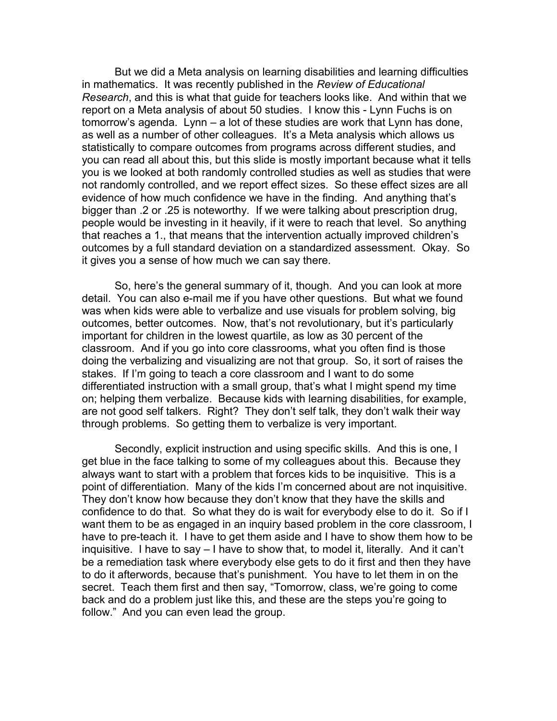But we did a Meta analysis on learning disabilities and learning difficulties in mathematics. It was recently published in the *Review of Educational Research*, and this is what that guide for teachers looks like. And within that we report on a Meta analysis of about 50 studies. I know this - Lynn Fuchs is on tomorrow's agenda. Lynn – a lot of these studies are work that Lynn has done, as well as a number of other colleagues. It's a Meta analysis which allows us statistically to compare outcomes from programs across different studies, and you can read all about this, but this slide is mostly important because what it tells you is we looked at both randomly controlled studies as well as studies that were not randomly controlled, and we report effect sizes. So these effect sizes are all evidence of how much confidence we have in the finding. And anything that's bigger than .2 or .25 is noteworthy. If we were talking about prescription drug, people would be investing in it heavily, if it were to reach that level. So anything that reaches a 1., that means that the intervention actually improved children's outcomes by a full standard deviation on a standardized assessment. Okay. So it gives you a sense of how much we can say there.

So, here's the general summary of it, though. And you can look at more detail. You can also e-mail me if you have other questions. But what we found was when kids were able to verbalize and use visuals for problem solving, big outcomes, better outcomes. Now, that's not revolutionary, but it's particularly important for children in the lowest quartile, as low as 30 percent of the classroom. And if you go into core classrooms, what you often find is those doing the verbalizing and visualizing are not that group. So, it sort of raises the stakes. If I'm going to teach a core classroom and I want to do some differentiated instruction with a small group, that's what I might spend my time on; helping them verbalize. Because kids with learning disabilities, for example, are not good self talkers. Right? They don't self talk, they don't walk their way through problems. So getting them to verbalize is very important.

Secondly, explicit instruction and using specific skills. And this is one, I get blue in the face talking to some of my colleagues about this. Because they always want to start with a problem that forces kids to be inquisitive. This is a point of differentiation. Many of the kids I'm concerned about are not inquisitive. They don't know how because they don't know that they have the skills and confidence to do that. So what they do is wait for everybody else to do it. So if I want them to be as engaged in an inquiry based problem in the core classroom, I have to pre-teach it. I have to get them aside and I have to show them how to be inquisitive. I have to say – I have to show that, to model it, literally. And it can't be a remediation task where everybody else gets to do it first and then they have to do it afterwords, because that's punishment. You have to let them in on the secret. Teach them first and then say, "Tomorrow, class, we're going to come back and do a problem just like this, and these are the steps you're going to follow." And you can even lead the group.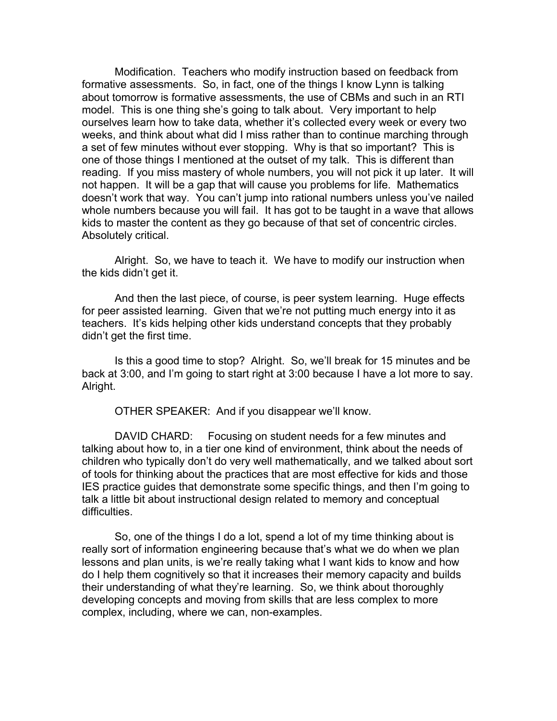Modification. Teachers who modify instruction based on feedback from formative assessments. So, in fact, one of the things I know Lynn is talking about tomorrow is formative assessments, the use of CBMs and such in an RTI model. This is one thing she's going to talk about. Very important to help ourselves learn how to take data, whether it's collected every week or every two weeks, and think about what did I miss rather than to continue marching through a set of few minutes without ever stopping. Why is that so important? This is one of those things I mentioned at the outset of my talk. This is different than reading. If you miss mastery of whole numbers, you will not pick it up later. It will not happen. It will be a gap that will cause you problems for life. Mathematics doesn't work that way. You can't jump into rational numbers unless you've nailed whole numbers because you will fail. It has got to be taught in a wave that allows kids to master the content as they go because of that set of concentric circles. Absolutely critical.

Alright. So, we have to teach it. We have to modify our instruction when the kids didn't get it.

And then the last piece, of course, is peer system learning. Huge effects for peer assisted learning. Given that we're not putting much energy into it as teachers. It's kids helping other kids understand concepts that they probably didn't get the first time.

Is this a good time to stop? Alright. So, we'll break for 15 minutes and be back at 3:00, and I'm going to start right at 3:00 because I have a lot more to say. Alright.

OTHER SPEAKER: And if you disappear we'll know.

DAVID CHARD: Focusing on student needs for a few minutes and talking about how to, in a tier one kind of environment, think about the needs of children who typically don't do very well mathematically, and we talked about sort of tools for thinking about the practices that are most effective for kids and those IES practice guides that demonstrate some specific things, and then I'm going to talk a little bit about instructional design related to memory and conceptual difficulties.

So, one of the things I do a lot, spend a lot of my time thinking about is really sort of information engineering because that's what we do when we plan lessons and plan units, is we're really taking what I want kids to know and how do I help them cognitively so that it increases their memory capacity and builds their understanding of what they're learning. So, we think about thoroughly developing concepts and moving from skills that are less complex to more complex, including, where we can, non-examples.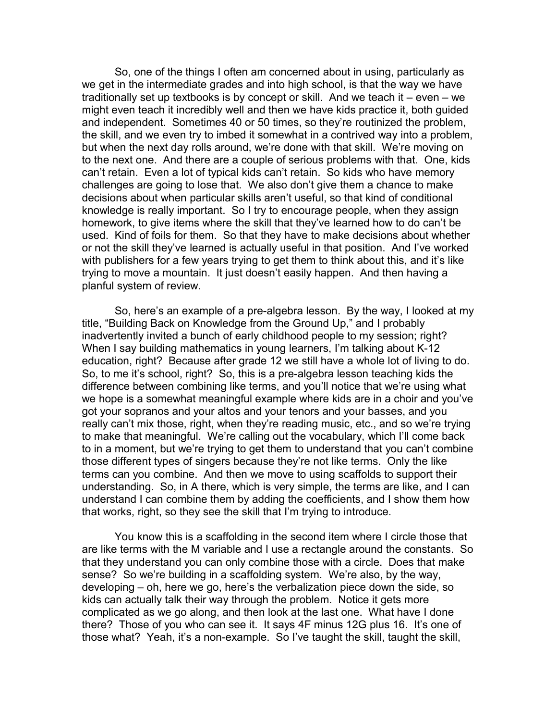So, one of the things I often am concerned about in using, particularly as we get in the intermediate grades and into high school, is that the way we have traditionally set up textbooks is by concept or skill. And we teach it – even – we might even teach it incredibly well and then we have kids practice it, both guided and independent. Sometimes 40 or 50 times, so they're routinized the problem, the skill, and we even try to imbed it somewhat in a contrived way into a problem, but when the next day rolls around, we're done with that skill. We're moving on to the next one. And there are a couple of serious problems with that. One, kids can't retain. Even a lot of typical kids can't retain. So kids who have memory challenges are going to lose that. We also don't give them a chance to make decisions about when particular skills aren't useful, so that kind of conditional knowledge is really important. So I try to encourage people, when they assign homework, to give items where the skill that they've learned how to do can't be used. Kind of foils for them. So that they have to make decisions about whether or not the skill they've learned is actually useful in that position. And I've worked with publishers for a few years trying to get them to think about this, and it's like trying to move a mountain. It just doesn't easily happen. And then having a planful system of review.

So, here's an example of a pre-algebra lesson. By the way, I looked at my title, "Building Back on Knowledge from the Ground Up," and I probably inadvertently invited a bunch of early childhood people to my session; right? When I say building mathematics in young learners, I'm talking about K-12 education, right? Because after grade 12 we still have a whole lot of living to do. So, to me it's school, right? So, this is a pre-algebra lesson teaching kids the difference between combining like terms, and you'll notice that we're using what we hope is a somewhat meaningful example where kids are in a choir and you've got your sopranos and your altos and your tenors and your basses, and you really can't mix those, right, when they're reading music, etc., and so we're trying to make that meaningful. We're calling out the vocabulary, which I'll come back to in a moment, but we're trying to get them to understand that you can't combine those different types of singers because they're not like terms. Only the like terms can you combine. And then we move to using scaffolds to support their understanding. So, in A there, which is very simple, the terms are like, and I can understand I can combine them by adding the coefficients, and I show them how that works, right, so they see the skill that I'm trying to introduce.

You know this is a scaffolding in the second item where I circle those that are like terms with the M variable and I use a rectangle around the constants. So that they understand you can only combine those with a circle. Does that make sense? So we're building in a scaffolding system. We're also, by the way, developing – oh, here we go, here's the verbalization piece down the side, so kids can actually talk their way through the problem. Notice it gets more complicated as we go along, and then look at the last one. What have I done there? Those of you who can see it. It says 4F minus 12G plus 16. It's one of those what? Yeah, it's a non-example. So I've taught the skill, taught the skill,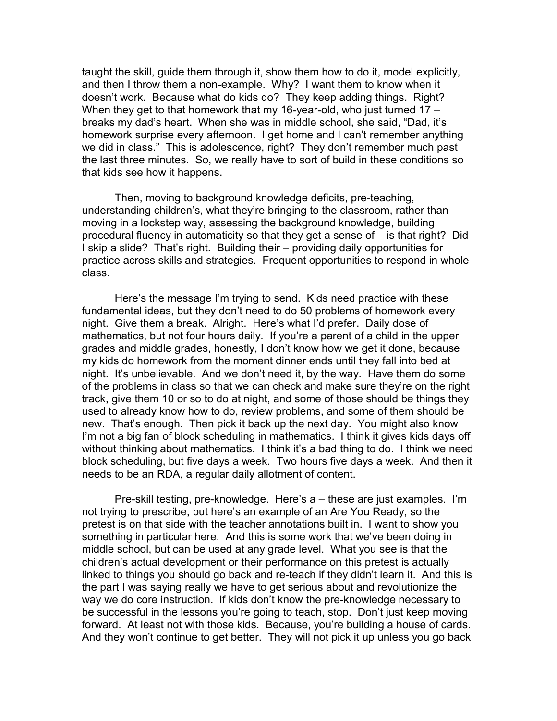taught the skill, guide them through it, show them how to do it, model explicitly, and then I throw them a non-example. Why? I want them to know when it doesn't work. Because what do kids do? They keep adding things. Right? When they get to that homework that my 16-year-old, who just turned 17 – breaks my dad's heart. When she was in middle school, she said, "Dad, it's homework surprise every afternoon. I get home and I can't remember anything we did in class." This is adolescence, right? They don't remember much past the last three minutes. So, we really have to sort of build in these conditions so that kids see how it happens.

Then, moving to background knowledge deficits, pre-teaching, understanding children's, what they're bringing to the classroom, rather than moving in a lockstep way, assessing the background knowledge, building procedural fluency in automaticity so that they get a sense of – is that right? Did I skip a slide? That's right. Building their – providing daily opportunities for practice across skills and strategies. Frequent opportunities to respond in whole class.

Here's the message I'm trying to send. Kids need practice with these fundamental ideas, but they don't need to do 50 problems of homework every night. Give them a break. Alright. Here's what I'd prefer. Daily dose of mathematics, but not four hours daily. If you're a parent of a child in the upper grades and middle grades, honestly, I don't know how we get it done, because my kids do homework from the moment dinner ends until they fall into bed at night. It's unbelievable. And we don't need it, by the way. Have them do some of the problems in class so that we can check and make sure they're on the right track, give them 10 or so to do at night, and some of those should be things they used to already know how to do, review problems, and some of them should be new. That's enough. Then pick it back up the next day. You might also know I'm not a big fan of block scheduling in mathematics. I think it gives kids days off without thinking about mathematics. I think it's a bad thing to do. I think we need block scheduling, but five days a week. Two hours five days a week. And then it needs to be an RDA, a regular daily allotment of content.

Pre-skill testing, pre-knowledge. Here's a – these are just examples. I'm not trying to prescribe, but here's an example of an Are You Ready, so the pretest is on that side with the teacher annotations built in. I want to show you something in particular here. And this is some work that we've been doing in middle school, but can be used at any grade level. What you see is that the children's actual development or their performance on this pretest is actually linked to things you should go back and re-teach if they didn't learn it. And this is the part I was saying really we have to get serious about and revolutionize the way we do core instruction. If kids don't know the pre-knowledge necessary to be successful in the lessons you're going to teach, stop. Don't just keep moving forward. At least not with those kids. Because, you're building a house of cards. And they won't continue to get better. They will not pick it up unless you go back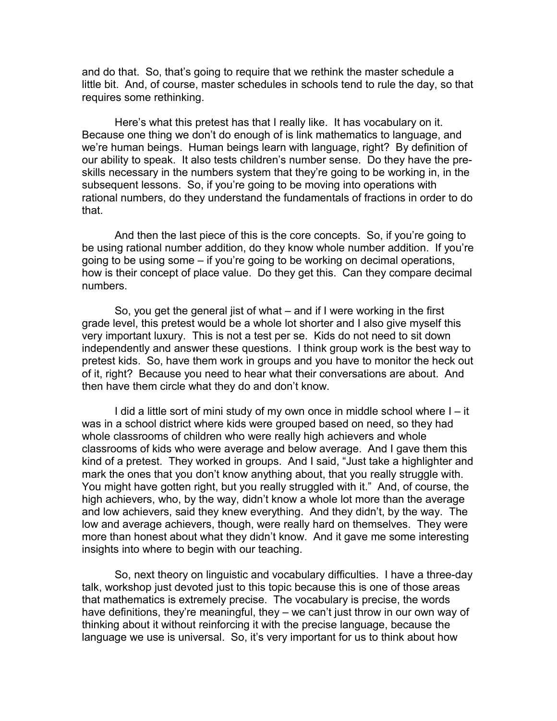and do that. So, that's going to require that we rethink the master schedule a little bit. And, of course, master schedules in schools tend to rule the day, so that requires some rethinking.

Here's what this pretest has that I really like. It has vocabulary on it. Because one thing we don't do enough of is link mathematics to language, and we're human beings. Human beings learn with language, right? By definition of our ability to speak. It also tests children's number sense. Do they have the preskills necessary in the numbers system that they're going to be working in, in the subsequent lessons. So, if you're going to be moving into operations with rational numbers, do they understand the fundamentals of fractions in order to do that.

And then the last piece of this is the core concepts. So, if you're going to be using rational number addition, do they know whole number addition. If you're going to be using some – if you're going to be working on decimal operations, how is their concept of place value. Do they get this. Can they compare decimal numbers.

So, you get the general jist of what – and if I were working in the first grade level, this pretest would be a whole lot shorter and I also give myself this very important luxury. This is not a test per se. Kids do not need to sit down independently and answer these questions. I think group work is the best way to pretest kids. So, have them work in groups and you have to monitor the heck out of it, right? Because you need to hear what their conversations are about. And then have them circle what they do and don't know.

I did a little sort of mini study of my own once in middle school where I – it was in a school district where kids were grouped based on need, so they had whole classrooms of children who were really high achievers and whole classrooms of kids who were average and below average. And I gave them this kind of a pretest. They worked in groups. And I said, "Just take a highlighter and mark the ones that you don't know anything about, that you really struggle with. You might have gotten right, but you really struggled with it." And, of course, the high achievers, who, by the way, didn't know a whole lot more than the average and low achievers, said they knew everything. And they didn't, by the way. The low and average achievers, though, were really hard on themselves. They were more than honest about what they didn't know. And it gave me some interesting insights into where to begin with our teaching.

So, next theory on linguistic and vocabulary difficulties. I have a three-day talk, workshop just devoted just to this topic because this is one of those areas that mathematics is extremely precise. The vocabulary is precise, the words have definitions, they're meaningful, they – we can't just throw in our own way of thinking about it without reinforcing it with the precise language, because the language we use is universal. So, it's very important for us to think about how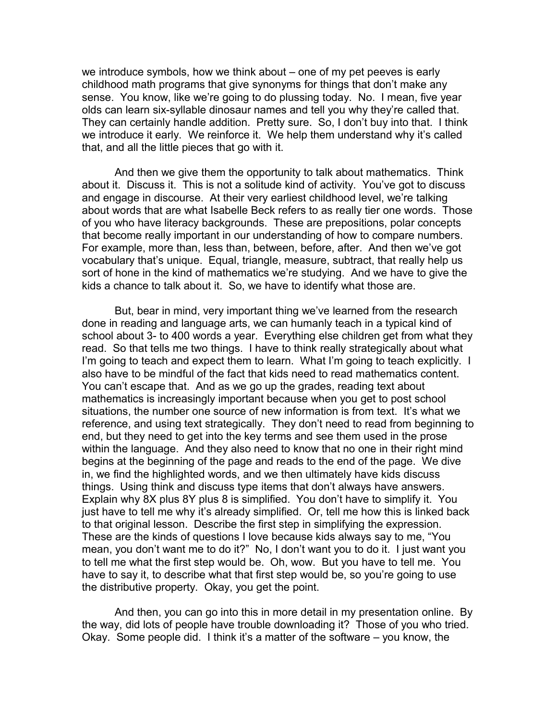we introduce symbols, how we think about – one of my pet peeves is early childhood math programs that give synonyms for things that don't make any sense. You know, like we're going to do plussing today. No. I mean, five year olds can learn six-syllable dinosaur names and tell you why they're called that. They can certainly handle addition. Pretty sure. So, I don't buy into that. I think we introduce it early. We reinforce it. We help them understand why it's called that, and all the little pieces that go with it.

And then we give them the opportunity to talk about mathematics. Think about it. Discuss it. This is not a solitude kind of activity. You've got to discuss and engage in discourse. At their very earliest childhood level, we're talking about words that are what Isabelle Beck refers to as really tier one words. Those of you who have literacy backgrounds. These are prepositions, polar concepts that become really important in our understanding of how to compare numbers. For example, more than, less than, between, before, after. And then we've got vocabulary that's unique. Equal, triangle, measure, subtract, that really help us sort of hone in the kind of mathematics we're studying. And we have to give the kids a chance to talk about it. So, we have to identify what those are.

But, bear in mind, very important thing we've learned from the research done in reading and language arts, we can humanly teach in a typical kind of school about 3- to 400 words a year. Everything else children get from what they read. So that tells me two things. I have to think really strategically about what I'm going to teach and expect them to learn. What I'm going to teach explicitly. I also have to be mindful of the fact that kids need to read mathematics content. You can't escape that. And as we go up the grades, reading text about mathematics is increasingly important because when you get to post school situations, the number one source of new information is from text. It's what we reference, and using text strategically. They don't need to read from beginning to end, but they need to get into the key terms and see them used in the prose within the language. And they also need to know that no one in their right mind begins at the beginning of the page and reads to the end of the page. We dive in, we find the highlighted words, and we then ultimately have kids discuss things. Using think and discuss type items that don't always have answers. Explain why 8X plus 8Y plus 8 is simplified. You don't have to simplify it. You just have to tell me why it's already simplified. Or, tell me how this is linked back to that original lesson. Describe the first step in simplifying the expression. These are the kinds of questions I love because kids always say to me, "You mean, you don't want me to do it?" No, I don't want you to do it. I just want you to tell me what the first step would be. Oh, wow. But you have to tell me. You have to say it, to describe what that first step would be, so you're going to use the distributive property. Okay, you get the point.

And then, you can go into this in more detail in my presentation online. By the way, did lots of people have trouble downloading it? Those of you who tried. Okay. Some people did. I think it's a matter of the software – you know, the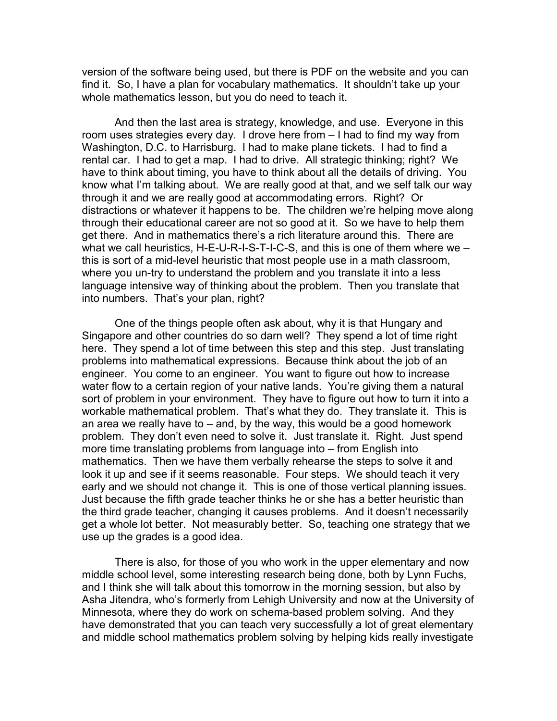version of the software being used, but there is PDF on the website and you can find it. So, I have a plan for vocabulary mathematics. It shouldn't take up your whole mathematics lesson, but you do need to teach it.

And then the last area is strategy, knowledge, and use. Everyone in this room uses strategies every day. I drove here from – I had to find my way from Washington, D.C. to Harrisburg. I had to make plane tickets. I had to find a rental car. I had to get a map. I had to drive. All strategic thinking; right? We have to think about timing, you have to think about all the details of driving. You know what I'm talking about. We are really good at that, and we self talk our way through it and we are really good at accommodating errors. Right? Or distractions or whatever it happens to be. The children we're helping move along through their educational career are not so good at it. So we have to help them get there. And in mathematics there's a rich literature around this. There are what we call heuristics, H-E-U-R-I-S-T-I-C-S, and this is one of them where we – this is sort of a mid-level heuristic that most people use in a math classroom, where you un-try to understand the problem and you translate it into a less language intensive way of thinking about the problem. Then you translate that into numbers. That's your plan, right?

One of the things people often ask about, why it is that Hungary and Singapore and other countries do so darn well? They spend a lot of time right here. They spend a lot of time between this step and this step. Just translating problems into mathematical expressions. Because think about the job of an engineer. You come to an engineer. You want to figure out how to increase water flow to a certain region of your native lands. You're giving them a natural sort of problem in your environment. They have to figure out how to turn it into a workable mathematical problem. That's what they do. They translate it. This is an area we really have to  $-$  and, by the way, this would be a good homework problem. They don't even need to solve it. Just translate it. Right. Just spend more time translating problems from language into – from English into mathematics. Then we have them verbally rehearse the steps to solve it and look it up and see if it seems reasonable. Four steps. We should teach it very early and we should not change it. This is one of those vertical planning issues. Just because the fifth grade teacher thinks he or she has a better heuristic than the third grade teacher, changing it causes problems. And it doesn't necessarily get a whole lot better. Not measurably better. So, teaching one strategy that we use up the grades is a good idea.

There is also, for those of you who work in the upper elementary and now middle school level, some interesting research being done, both by Lynn Fuchs, and I think she will talk about this tomorrow in the morning session, but also by Asha Jitendra, who's formerly from Lehigh University and now at the University of Minnesota, where they do work on schema-based problem solving. And they have demonstrated that you can teach very successfully a lot of great elementary and middle school mathematics problem solving by helping kids really investigate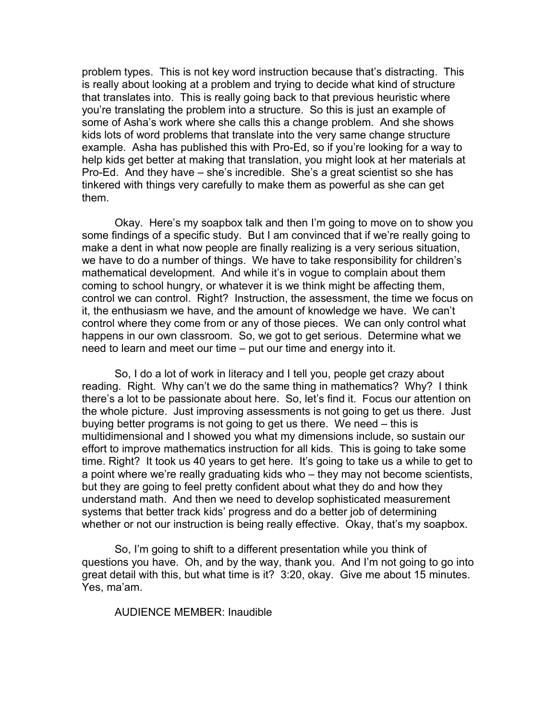problem types. This is not key word instruction because that's distracting. This is really about looking at a problem and trying to decide what kind of structure that translates into. This is really going back to that previous heuristic where you're translating the problem into a structure. So this is just an example of some of Asha's work where she calls this a change problem. And she shows kids lots of word problems that translate into the very same change structure example. Asha has published this with Pro-Ed, so if you're looking for a way to help kids get better at making that translation, you might look at her materials at Pro-Ed. And they have – she's incredible. She's a great scientist so she has tinkered with things very carefully to make them as powerful as she can get them.

Okay. Here's my soapbox talk and then I'm going to move on to show you some findings of a specific study. But I am convinced that if we're really going to make a dent in what now people are finally realizing is a very serious situation, we have to do a number of things. We have to take responsibility for children's mathematical development. And while it's in vogue to complain about them coming to school hungry, or whatever it is we think might be affecting them, control we can control. Right? Instruction, the assessment, the time we focus on it, the enthusiasm we have, and the amount of knowledge we have. We can't control where they come from or any of those pieces. We can only control what happens in our own classroom. So, we got to get serious. Determine what we need to learn and meet our time – put our time and energy into it.

So, I do a lot of work in literacy and I tell you, people get crazy about reading. Right. Why can't we do the same thing in mathematics? Why? I think there's a lot to be passionate about here. So, let's find it. Focus our attention on the whole picture. Just improving assessments is not going to get us there. Just buying better programs is not going to get us there. We need – this is multidimensional and I showed you what my dimensions include, so sustain our effort to improve mathematics instruction for all kids. This is going to take some time. Right? It took us 40 years to get here. It's going to take us a while to get to a point where we're really graduating kids who – they may not become scientists, but they are going to feel pretty confident about what they do and how they understand math. And then we need to develop sophisticated measurement systems that better track kids' progress and do a better job of determining whether or not our instruction is being really effective. Okay, that's my soapbox.

So, I'm going to shift to a different presentation while you think of questions you have. Oh, and by the way, thank you. And I'm not going to go into great detail with this, but what time is it? 3:20, okay. Give me about 15 minutes. Yes, ma'am.

AUDIENCE MEMBER: Inaudible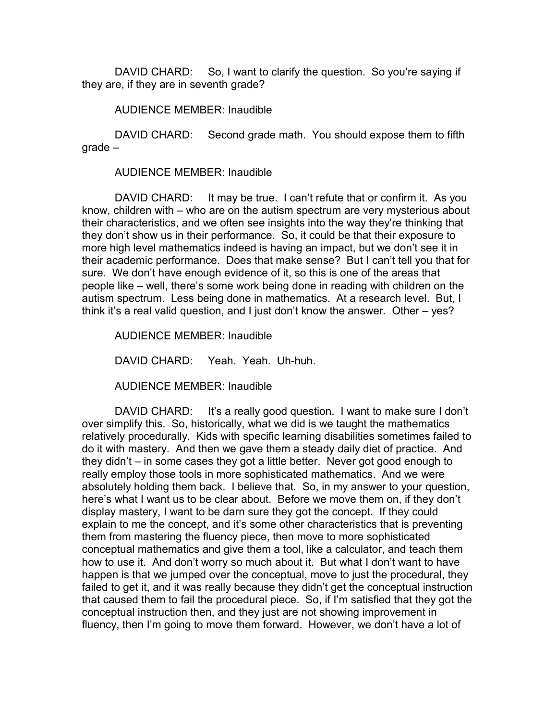DAVID CHARD: So, I want to clarify the question. So you're saying if they are, if they are in seventh grade?

AUDIENCE MEMBER: Inaudible

DAVID CHARD: Second grade math. You should expose them to fifth grade –

AUDIENCE MEMBER: Inaudible

DAVID CHARD: It may be true. I can't refute that or confirm it. As you know, children with – who are on the autism spectrum are very mysterious about their characteristics, and we often see insights into the way they're thinking that they don't show us in their performance. So, it could be that their exposure to more high level mathematics indeed is having an impact, but we don't see it in their academic performance. Does that make sense? But I can't tell you that for sure. We don't have enough evidence of it, so this is one of the areas that people like – well, there's some work being done in reading with children on the autism spectrum. Less being done in mathematics. At a research level. But, I think it's a real valid question, and I just don't know the answer. Other – yes?

AUDIENCE MEMBER: Inaudible

DAVID CHARD: Yeah. Yeah. Uh-huh.

AUDIENCE MEMBER: Inaudible

DAVID CHARD: It's a really good question. I want to make sure I don't over simplify this. So, historically, what we did is we taught the mathematics relatively procedurally. Kids with specific learning disabilities sometimes failed to do it with mastery. And then we gave them a steady daily diet of practice. And they didn't – in some cases they got a little better. Never got good enough to really employ those tools in more sophisticated mathematics. And we were absolutely holding them back. I believe that. So, in my answer to your question, here's what I want us to be clear about. Before we move them on, if they don't display mastery, I want to be darn sure they got the concept. If they could explain to me the concept, and it's some other characteristics that is preventing them from mastering the fluency piece, then move to more sophisticated conceptual mathematics and give them a tool, like a calculator, and teach them how to use it. And don't worry so much about it. But what I don't want to have happen is that we jumped over the conceptual, move to just the procedural, they failed to get it, and it was really because they didn't get the conceptual instruction that caused them to fail the procedural piece. So, if I'm satisfied that they got the conceptual instruction then, and they just are not showing improvement in fluency, then I'm going to move them forward. However, we don't have a lot of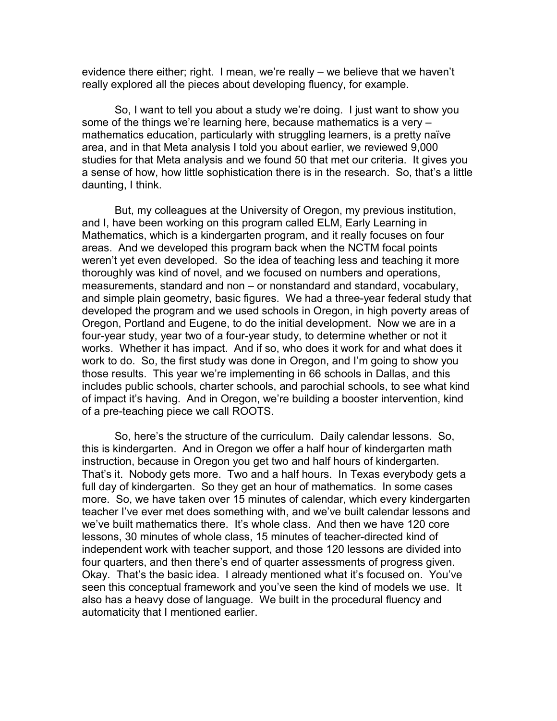evidence there either; right. I mean, we're really – we believe that we haven't really explored all the pieces about developing fluency, for example.

So, I want to tell you about a study we're doing. I just want to show you some of the things we're learning here, because mathematics is a very – mathematics education, particularly with struggling learners, is a pretty naïve area, and in that Meta analysis I told you about earlier, we reviewed 9,000 studies for that Meta analysis and we found 50 that met our criteria. It gives you a sense of how, how little sophistication there is in the research. So, that's a little daunting, I think.

But, my colleagues at the University of Oregon, my previous institution, and I, have been working on this program called ELM, Early Learning in Mathematics, which is a kindergarten program, and it really focuses on four areas. And we developed this program back when the NCTM focal points weren't yet even developed. So the idea of teaching less and teaching it more thoroughly was kind of novel, and we focused on numbers and operations, measurements, standard and non – or nonstandard and standard, vocabulary, and simple plain geometry, basic figures. We had a three-year federal study that developed the program and we used schools in Oregon, in high poverty areas of Oregon, Portland and Eugene, to do the initial development. Now we are in a four-year study, year two of a four-year study, to determine whether or not it works. Whether it has impact. And if so, who does it work for and what does it work to do. So, the first study was done in Oregon, and I'm going to show you those results. This year we're implementing in 66 schools in Dallas, and this includes public schools, charter schools, and parochial schools, to see what kind of impact it's having. And in Oregon, we're building a booster intervention, kind of a pre-teaching piece we call ROOTS.

So, here's the structure of the curriculum. Daily calendar lessons. So, this is kindergarten. And in Oregon we offer a half hour of kindergarten math instruction, because in Oregon you get two and half hours of kindergarten. That's it. Nobody gets more. Two and a half hours. In Texas everybody gets a full day of kindergarten. So they get an hour of mathematics. In some cases more. So, we have taken over 15 minutes of calendar, which every kindergarten teacher I've ever met does something with, and we've built calendar lessons and we've built mathematics there. It's whole class. And then we have 120 core lessons, 30 minutes of whole class, 15 minutes of teacher-directed kind of independent work with teacher support, and those 120 lessons are divided into four quarters, and then there's end of quarter assessments of progress given. Okay. That's the basic idea. I already mentioned what it's focused on. You've seen this conceptual framework and you've seen the kind of models we use. It also has a heavy dose of language. We built in the procedural fluency and automaticity that I mentioned earlier.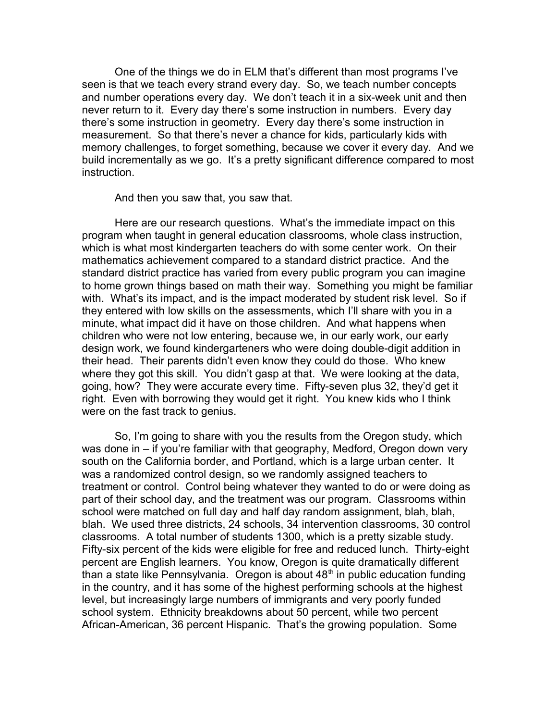One of the things we do in ELM that's different than most programs I've seen is that we teach every strand every day. So, we teach number concepts and number operations every day. We don't teach it in a six-week unit and then never return to it. Every day there's some instruction in numbers. Every day there's some instruction in geometry. Every day there's some instruction in measurement. So that there's never a chance for kids, particularly kids with memory challenges, to forget something, because we cover it every day. And we build incrementally as we go. It's a pretty significant difference compared to most instruction.

And then you saw that, you saw that.

Here are our research questions. What's the immediate impact on this program when taught in general education classrooms, whole class instruction, which is what most kindergarten teachers do with some center work. On their mathematics achievement compared to a standard district practice. And the standard district practice has varied from every public program you can imagine to home grown things based on math their way. Something you might be familiar with. What's its impact, and is the impact moderated by student risk level. So if they entered with low skills on the assessments, which I'll share with you in a minute, what impact did it have on those children. And what happens when children who were not low entering, because we, in our early work, our early design work, we found kindergarteners who were doing double-digit addition in their head. Their parents didn't even know they could do those. Who knew where they got this skill. You didn't gasp at that. We were looking at the data, going, how? They were accurate every time. Fifty-seven plus 32, they'd get it right. Even with borrowing they would get it right. You knew kids who I think were on the fast track to genius.

So, I'm going to share with you the results from the Oregon study, which was done in – if you're familiar with that geography, Medford, Oregon down very south on the California border, and Portland, which is a large urban center. It was a randomized control design, so we randomly assigned teachers to treatment or control. Control being whatever they wanted to do or were doing as part of their school day, and the treatment was our program. Classrooms within school were matched on full day and half day random assignment, blah, blah, blah. We used three districts, 24 schools, 34 intervention classrooms, 30 control classrooms. A total number of students 1300, which is a pretty sizable study. Fifty-six percent of the kids were eligible for free and reduced lunch. Thirty-eight percent are English learners. You know, Oregon is quite dramatically different than a state like Pennsylvania. Oregon is about  $48<sup>th</sup>$  in public education funding in the country, and it has some of the highest performing schools at the highest level, but increasingly large numbers of immigrants and very poorly funded school system. Ethnicity breakdowns about 50 percent, while two percent African-American, 36 percent Hispanic. That's the growing population. Some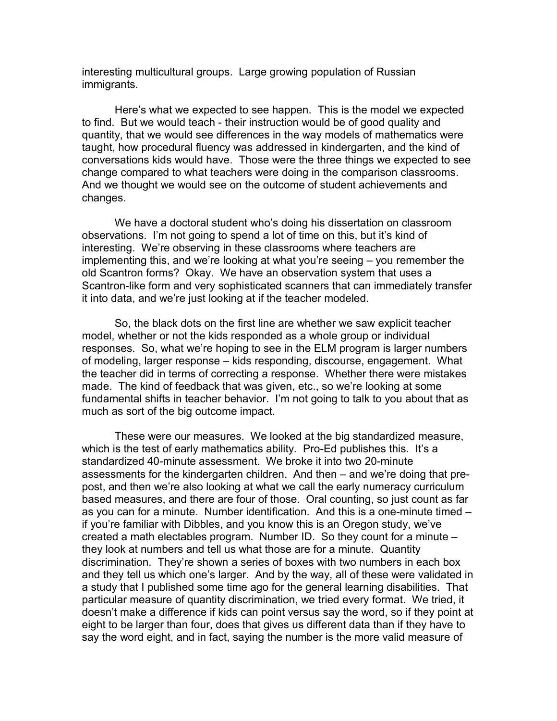interesting multicultural groups. Large growing population of Russian immigrants.

Here's what we expected to see happen. This is the model we expected to find. But we would teach - their instruction would be of good quality and quantity, that we would see differences in the way models of mathematics were taught, how procedural fluency was addressed in kindergarten, and the kind of conversations kids would have. Those were the three things we expected to see change compared to what teachers were doing in the comparison classrooms. And we thought we would see on the outcome of student achievements and changes.

We have a doctoral student who's doing his dissertation on classroom observations. I'm not going to spend a lot of time on this, but it's kind of interesting. We're observing in these classrooms where teachers are implementing this, and we're looking at what you're seeing – you remember the old Scantron forms? Okay. We have an observation system that uses a Scantron-like form and very sophisticated scanners that can immediately transfer it into data, and we're just looking at if the teacher modeled.

So, the black dots on the first line are whether we saw explicit teacher model, whether or not the kids responded as a whole group or individual responses. So, what we're hoping to see in the ELM program is larger numbers of modeling, larger response – kids responding, discourse, engagement. What the teacher did in terms of correcting a response. Whether there were mistakes made. The kind of feedback that was given, etc., so we're looking at some fundamental shifts in teacher behavior. I'm not going to talk to you about that as much as sort of the big outcome impact.

These were our measures. We looked at the big standardized measure, which is the test of early mathematics ability. Pro-Ed publishes this. It's a standardized 40-minute assessment. We broke it into two 20-minute assessments for the kindergarten children. And then – and we're doing that prepost, and then we're also looking at what we call the early numeracy curriculum based measures, and there are four of those. Oral counting, so just count as far as you can for a minute. Number identification. And this is a one-minute timed – if you're familiar with Dibbles, and you know this is an Oregon study, we've created a math electables program. Number ID. So they count for a minute – they look at numbers and tell us what those are for a minute. Quantity discrimination. They're shown a series of boxes with two numbers in each box and they tell us which one's larger. And by the way, all of these were validated in a study that I published some time ago for the general learning disabilities. That particular measure of quantity discrimination, we tried every format. We tried, it doesn't make a difference if kids can point versus say the word, so if they point at eight to be larger than four, does that gives us different data than if they have to say the word eight, and in fact, saying the number is the more valid measure of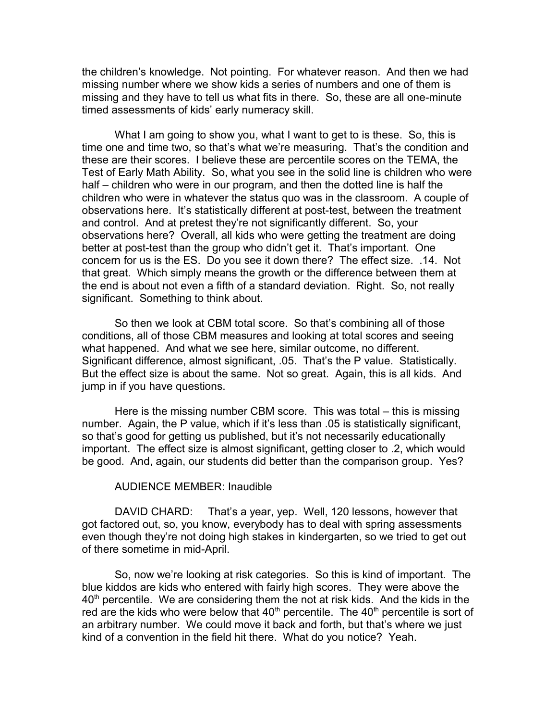the children's knowledge. Not pointing. For whatever reason. And then we had missing number where we show kids a series of numbers and one of them is missing and they have to tell us what fits in there. So, these are all one-minute timed assessments of kids' early numeracy skill.

What I am going to show you, what I want to get to is these. So, this is time one and time two, so that's what we're measuring. That's the condition and these are their scores. I believe these are percentile scores on the TEMA, the Test of Early Math Ability. So, what you see in the solid line is children who were half – children who were in our program, and then the dotted line is half the children who were in whatever the status quo was in the classroom. A couple of observations here. It's statistically different at post-test, between the treatment and control. And at pretest they're not significantly different. So, your observations here? Overall, all kids who were getting the treatment are doing better at post-test than the group who didn't get it. That's important. One concern for us is the ES. Do you see it down there? The effect size. .14. Not that great. Which simply means the growth or the difference between them at the end is about not even a fifth of a standard deviation. Right. So, not really significant. Something to think about.

So then we look at CBM total score. So that's combining all of those conditions, all of those CBM measures and looking at total scores and seeing what happened. And what we see here, similar outcome, no different. Significant difference, almost significant, .05. That's the P value. Statistically. But the effect size is about the same. Not so great. Again, this is all kids. And jump in if you have questions.

Here is the missing number CBM score. This was total – this is missing number. Again, the P value, which if it's less than .05 is statistically significant, so that's good for getting us published, but it's not necessarily educationally important. The effect size is almost significant, getting closer to .2, which would be good. And, again, our students did better than the comparison group. Yes?

### AUDIENCE MEMBER: Inaudible

DAVID CHARD: That's a year, yep. Well, 120 lessons, however that got factored out, so, you know, everybody has to deal with spring assessments even though they're not doing high stakes in kindergarten, so we tried to get out of there sometime in mid-April.

So, now we're looking at risk categories. So this is kind of important. The blue kiddos are kids who entered with fairly high scores. They were above the  $40<sup>th</sup>$  percentile. We are considering them the not at risk kids. And the kids in the red are the kids who were below that  $40<sup>th</sup>$  percentile. The  $40<sup>th</sup>$  percentile is sort of an arbitrary number. We could move it back and forth, but that's where we just kind of a convention in the field hit there. What do you notice? Yeah.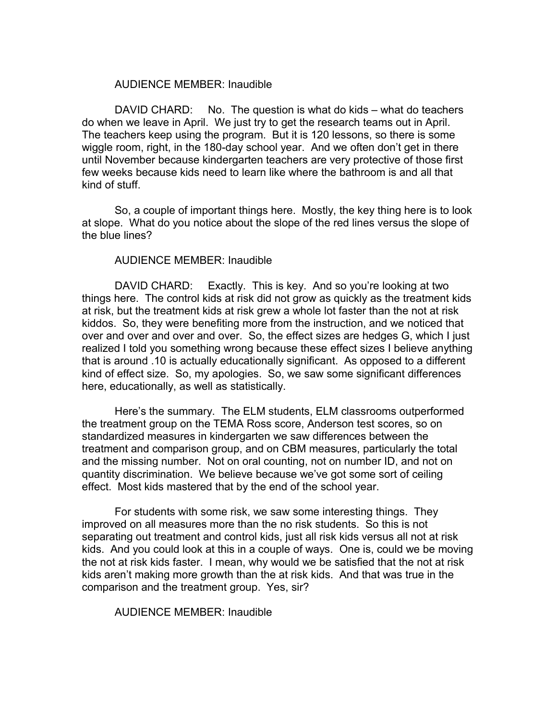### AUDIENCE MEMBER: Inaudible

DAVID CHARD: No. The question is what do kids – what do teachers do when we leave in April. We just try to get the research teams out in April. The teachers keep using the program. But it is 120 lessons, so there is some wiggle room, right, in the 180-day school year. And we often don't get in there until November because kindergarten teachers are very protective of those first few weeks because kids need to learn like where the bathroom is and all that kind of stuff.

So, a couple of important things here. Mostly, the key thing here is to look at slope. What do you notice about the slope of the red lines versus the slope of the blue lines?

#### AUDIENCE MEMBER: Inaudible

DAVID CHARD: Exactly. This is key. And so you're looking at two things here. The control kids at risk did not grow as quickly as the treatment kids at risk, but the treatment kids at risk grew a whole lot faster than the not at risk kiddos. So, they were benefiting more from the instruction, and we noticed that over and over and over and over. So, the effect sizes are hedges G, which I just realized I told you something wrong because these effect sizes I believe anything that is around .10 is actually educationally significant. As opposed to a different kind of effect size. So, my apologies. So, we saw some significant differences here, educationally, as well as statistically.

Here's the summary. The ELM students, ELM classrooms outperformed the treatment group on the TEMA Ross score, Anderson test scores, so on standardized measures in kindergarten we saw differences between the treatment and comparison group, and on CBM measures, particularly the total and the missing number. Not on oral counting, not on number ID, and not on quantity discrimination. We believe because we've got some sort of ceiling effect. Most kids mastered that by the end of the school year.

For students with some risk, we saw some interesting things. They improved on all measures more than the no risk students. So this is not separating out treatment and control kids, just all risk kids versus all not at risk kids. And you could look at this in a couple of ways. One is, could we be moving the not at risk kids faster. I mean, why would we be satisfied that the not at risk kids aren't making more growth than the at risk kids. And that was true in the comparison and the treatment group. Yes, sir?

#### AUDIENCE MEMBER: Inaudible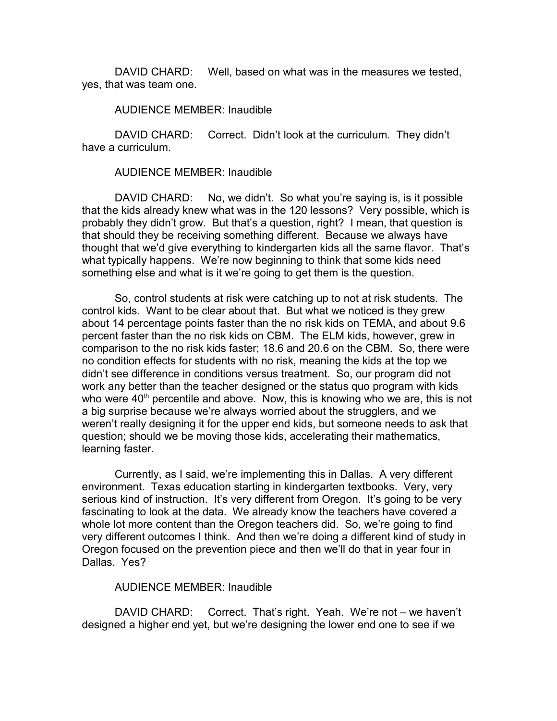DAVID CHARD: Well, based on what was in the measures we tested, yes, that was team one.

AUDIENCE MEMBER: Inaudible

DAVID CHARD: Correct. Didn't look at the curriculum. They didn't have a curriculum.

AUDIENCE MEMBER: Inaudible

DAVID CHARD: No, we didn't. So what you're saying is, is it possible that the kids already knew what was in the 120 lessons? Very possible, which is probably they didn't grow. But that's a question, right? I mean, that question is that should they be receiving something different. Because we always have thought that we'd give everything to kindergarten kids all the same flavor. That's what typically happens. We're now beginning to think that some kids need something else and what is it we're going to get them is the question.

So, control students at risk were catching up to not at risk students. The control kids. Want to be clear about that. But what we noticed is they grew about 14 percentage points faster than the no risk kids on TEMA, and about 9.6 percent faster than the no risk kids on CBM. The ELM kids, however, grew in comparison to the no risk kids faster; 18.6 and 20.6 on the CBM. So, there were no condition effects for students with no risk, meaning the kids at the top we didn't see difference in conditions versus treatment. So, our program did not work any better than the teacher designed or the status quo program with kids who were  $40<sup>th</sup>$  percentile and above. Now, this is knowing who we are, this is not a big surprise because we're always worried about the strugglers, and we weren't really designing it for the upper end kids, but someone needs to ask that question; should we be moving those kids, accelerating their mathematics, learning faster.

Currently, as I said, we're implementing this in Dallas. A very different environment. Texas education starting in kindergarten textbooks. Very, very serious kind of instruction. It's very different from Oregon. It's going to be very fascinating to look at the data. We already know the teachers have covered a whole lot more content than the Oregon teachers did. So, we're going to find very different outcomes I think. And then we're doing a different kind of study in Oregon focused on the prevention piece and then we'll do that in year four in Dallas. Yes?

### AUDIENCE MEMBER: Inaudible

DAVID CHARD: Correct. That's right. Yeah. We're not – we haven't designed a higher end yet, but we're designing the lower end one to see if we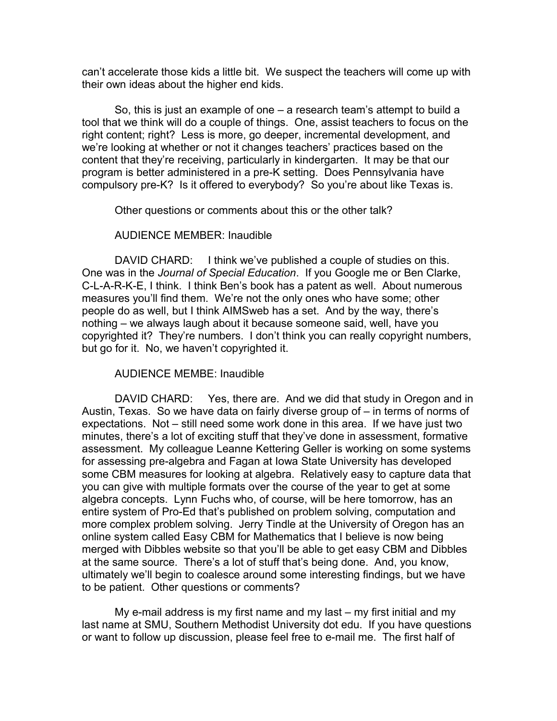can't accelerate those kids a little bit. We suspect the teachers will come up with their own ideas about the higher end kids.

So, this is just an example of one – a research team's attempt to build a tool that we think will do a couple of things. One, assist teachers to focus on the right content; right? Less is more, go deeper, incremental development, and we're looking at whether or not it changes teachers' practices based on the content that they're receiving, particularly in kindergarten. It may be that our program is better administered in a pre-K setting. Does Pennsylvania have compulsory pre-K? Is it offered to everybody? So you're about like Texas is.

Other questions or comments about this or the other talk?

### AUDIENCE MEMBER: Inaudible

DAVID CHARD: I think we've published a couple of studies on this. One was in the *Journal of Special Education*. If you Google me or Ben Clarke, C-L-A-R-K-E, I think. I think Ben's book has a patent as well. About numerous measures you'll find them. We're not the only ones who have some; other people do as well, but I think AIMSweb has a set. And by the way, there's nothing – we always laugh about it because someone said, well, have you copyrighted it? They're numbers. I don't think you can really copyright numbers, but go for it. No, we haven't copyrighted it.

### AUDIENCE MEMBE: Inaudible

DAVID CHARD: Yes, there are. And we did that study in Oregon and in Austin, Texas. So we have data on fairly diverse group of – in terms of norms of expectations. Not – still need some work done in this area. If we have just two minutes, there's a lot of exciting stuff that they've done in assessment, formative assessment. My colleague Leanne Kettering Geller is working on some systems for assessing pre-algebra and Fagan at Iowa State University has developed some CBM measures for looking at algebra. Relatively easy to capture data that you can give with multiple formats over the course of the year to get at some algebra concepts. Lynn Fuchs who, of course, will be here tomorrow, has an entire system of Pro-Ed that's published on problem solving, computation and more complex problem solving. Jerry Tindle at the University of Oregon has an online system called Easy CBM for Mathematics that I believe is now being merged with Dibbles website so that you'll be able to get easy CBM and Dibbles at the same source. There's a lot of stuff that's being done. And, you know, ultimately we'll begin to coalesce around some interesting findings, but we have to be patient. Other questions or comments?

My e-mail address is my first name and my last – my first initial and my last name at SMU, Southern Methodist University dot edu. If you have questions or want to follow up discussion, please feel free to e-mail me. The first half of